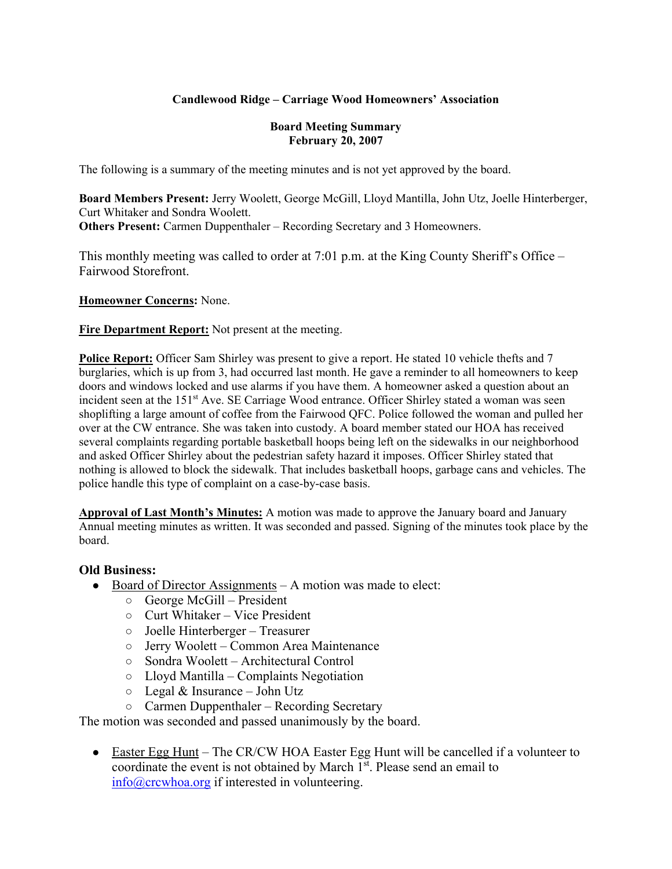## **Candlewood Ridge – Carriage Wood Homeowners' Association**

#### **Board Meeting Summary February 20, 2007**

The following is a summary of the meeting minutes and is not yet approved by the board.

**Board Members Present:** Jerry Woolett, George McGill, Lloyd Mantilla, John Utz, Joelle Hinterberger, Curt Whitaker and Sondra Woolett. **Others Present:** Carmen Duppenthaler – Recording Secretary and 3 Homeowners.

This monthly meeting was called to order at 7:01 p.m. at the King County Sheriff's Office – Fairwood Storefront.

**Homeowner Concerns:** None.

**Fire Department Report:** Not present at the meeting.

**Police Report:** Officer Sam Shirley was present to give a report. He stated 10 vehicle thefts and 7 burglaries, which is up from 3, had occurred last month. He gave a reminder to all homeowners to keep doors and windows locked and use alarms if you have them. A homeowner asked a question about an incident seen at the 151<sup>st</sup> Ave. SE Carriage Wood entrance. Officer Shirley stated a woman was seen shoplifting a large amount of coffee from the Fairwood QFC. Police followed the woman and pulled her over at the CW entrance. She was taken into custody. A board member stated our HOA has received several complaints regarding portable basketball hoops being left on the sidewalks in our neighborhood and asked Officer Shirley about the pedestrian safety hazard it imposes. Officer Shirley stated that nothing is allowed to block the sidewalk. That includes basketball hoops, garbage cans and vehicles. The police handle this type of complaint on a case-by-case basis.

**Approval of Last Month's Minutes:** A motion was made to approve the January board and January Annual meeting minutes as written. It was seconded and passed. Signing of the minutes took place by the board.

## **Old Business:**

- Board of Director Assignments A motion was made to elect:
	- George McGill President
	- Curt Whitaker Vice President
	- Joelle Hinterberger Treasurer
	- Jerry Woolett Common Area Maintenance
	- Sondra Woolett Architectural Control
	- Lloyd Mantilla Complaints Negotiation
	- $\circ$  Legal & Insurance John Utz
	- Carmen Duppenthaler Recording Secretary

The motion was seconded and passed unanimously by the board.

• Easter Egg Hunt – The CR/CW HOA Easter Egg Hunt will be cancelled if a volunteer to coordinate the event is not obtained by March 1<sup>st</sup>. Please send an email to info@crcwhoa.org if interested in volunteering.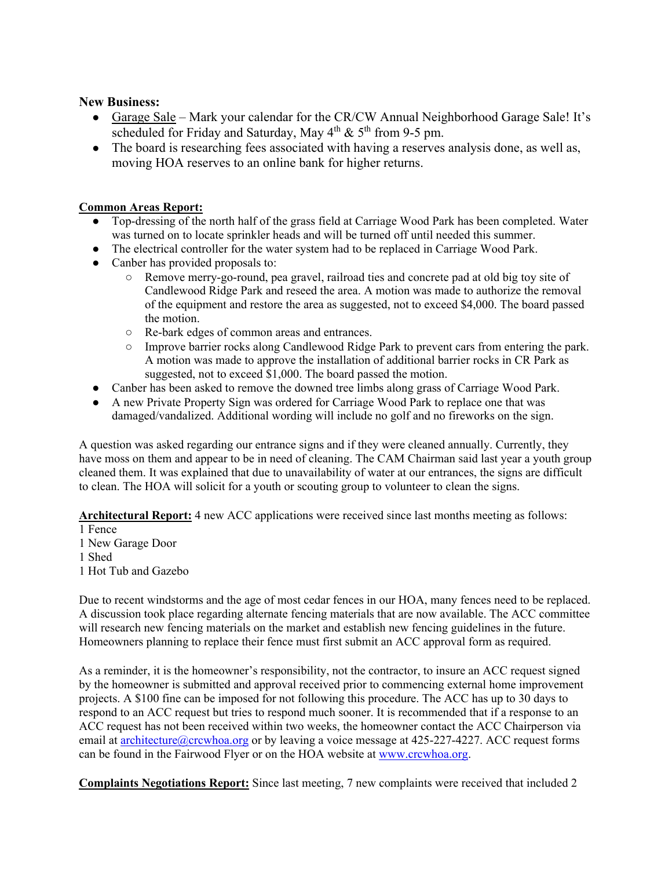### **New Business:**

- Garage Sale Mark your calendar for the CR/CW Annual Neighborhood Garage Sale! It's scheduled for Friday and Saturday, May  $4<sup>th</sup>$  &  $5<sup>th</sup>$  from 9-5 pm.
- The board is researching fees associated with having a reserves analysis done, as well as, moving HOA reserves to an online bank for higher returns.

#### **Common Areas Report:**

- Top-dressing of the north half of the grass field at Carriage Wood Park has been completed. Water was turned on to locate sprinkler heads and will be turned off until needed this summer.
- The electrical controller for the water system had to be replaced in Carriage Wood Park.
- Canber has provided proposals to:
	- Remove merry-go-round, pea gravel, railroad ties and concrete pad at old big toy site of Candlewood Ridge Park and reseed the area. A motion was made to authorize the removal of the equipment and restore the area as suggested, not to exceed \$4,000. The board passed the motion.
	- Re-bark edges of common areas and entrances.
	- Improve barrier rocks along Candlewood Ridge Park to prevent cars from entering the park. A motion was made to approve the installation of additional barrier rocks in CR Park as suggested, not to exceed \$1,000. The board passed the motion.
- Canber has been asked to remove the downed tree limbs along grass of Carriage Wood Park.
- A new Private Property Sign was ordered for Carriage Wood Park to replace one that was damaged/vandalized. Additional wording will include no golf and no fireworks on the sign.

A question was asked regarding our entrance signs and if they were cleaned annually. Currently, they have moss on them and appear to be in need of cleaning. The CAM Chairman said last year a youth group cleaned them. It was explained that due to unavailability of water at our entrances, the signs are difficult to clean. The HOA will solicit for a youth or scouting group to volunteer to clean the signs.

**Architectural Report:** 4 new ACC applications were received since last months meeting as follows:

- 1 Fence
- 1 New Garage Door
- 1 Shed
- 1 Hot Tub and Gazebo

Due to recent windstorms and the age of most cedar fences in our HOA, many fences need to be replaced. A discussion took place regarding alternate fencing materials that are now available. The ACC committee will research new fencing materials on the market and establish new fencing guidelines in the future. Homeowners planning to replace their fence must first submit an ACC approval form as required.

As a reminder, it is the homeowner's responsibility, not the contractor, to insure an ACC request signed by the homeowner is submitted and approval received prior to commencing external home improvement projects. A \$100 fine can be imposed for not following this procedure. The ACC has up to 30 days to respond to an ACC request but tries to respond much sooner. It is recommended that if a response to an ACC request has not been received within two weeks, the homeowner contact the ACC Chairperson via email at architecture@crcwhoa.org or by leaving a voice message at 425-227-4227. ACC request forms can be found in the Fairwood Flyer or on the HOA website at www.crcwhoa.org.

**Complaints Negotiations Report:** Since last meeting, 7 new complaints were received that included 2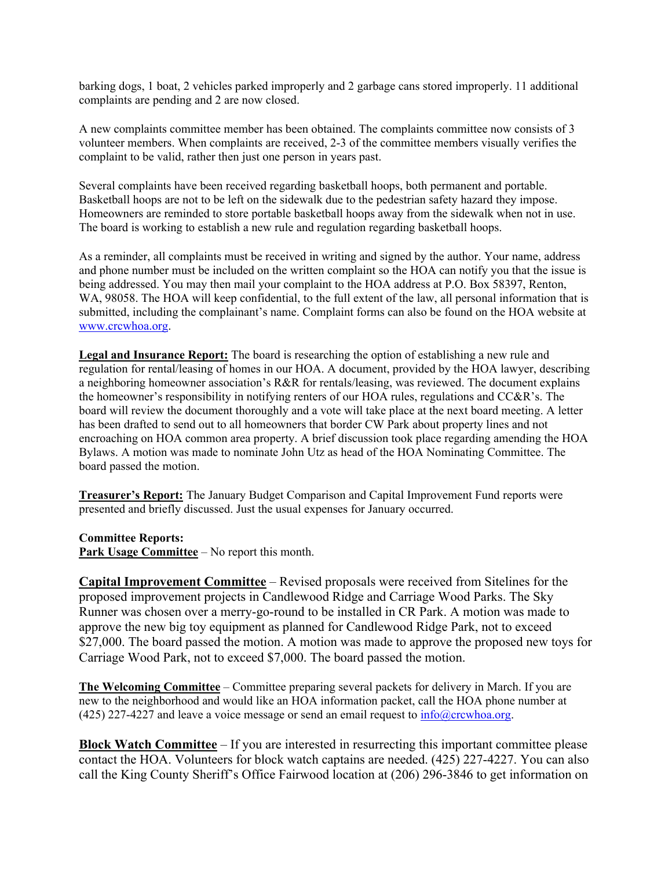barking dogs, 1 boat, 2 vehicles parked improperly and 2 garbage cans stored improperly. 11 additional complaints are pending and 2 are now closed.

A new complaints committee member has been obtained. The complaints committee now consists of 3 volunteer members. When complaints are received, 2-3 of the committee members visually verifies the complaint to be valid, rather then just one person in years past.

Several complaints have been received regarding basketball hoops, both permanent and portable. Basketball hoops are not to be left on the sidewalk due to the pedestrian safety hazard they impose. Homeowners are reminded to store portable basketball hoops away from the sidewalk when not in use. The board is working to establish a new rule and regulation regarding basketball hoops.

As a reminder, all complaints must be received in writing and signed by the author. Your name, address and phone number must be included on the written complaint so the HOA can notify you that the issue is being addressed. You may then mail your complaint to the HOA address at P.O. Box 58397, Renton, WA, 98058. The HOA will keep confidential, to the full extent of the law, all personal information that is submitted, including the complainant's name. Complaint forms can also be found on the HOA website at www.crcwhoa.org.

**Legal and Insurance Report:** The board is researching the option of establishing a new rule and regulation for rental/leasing of homes in our HOA. A document, provided by the HOA lawyer, describing a neighboring homeowner association's R&R for rentals/leasing, was reviewed. The document explains the homeowner's responsibility in notifying renters of our HOA rules, regulations and CC&R's. The board will review the document thoroughly and a vote will take place at the next board meeting. A letter has been drafted to send out to all homeowners that border CW Park about property lines and not encroaching on HOA common area property. A brief discussion took place regarding amending the HOA Bylaws. A motion was made to nominate John Utz as head of the HOA Nominating Committee. The board passed the motion.

**Treasurer's Report:** The January Budget Comparison and Capital Improvement Fund reports were presented and briefly discussed. Just the usual expenses for January occurred.

#### **Committee Reports:**

**Park Usage Committee** – No report this month.

**Capital Improvement Committee** – Revised proposals were received from Sitelines for the proposed improvement projects in Candlewood Ridge and Carriage Wood Parks. The Sky Runner was chosen over a merry-go-round to be installed in CR Park. A motion was made to approve the new big toy equipment as planned for Candlewood Ridge Park, not to exceed \$27,000. The board passed the motion. A motion was made to approve the proposed new toys for Carriage Wood Park, not to exceed \$7,000. The board passed the motion.

**The Welcoming Committee** – Committee preparing several packets for delivery in March. If you are new to the neighborhood and would like an HOA information packet, call the HOA phone number at (425) 227-4227 and leave a voice message or send an email request to  $info@crewhoa.org$ .

**Block Watch Committee** – If you are interested in resurrecting this important committee please contact the HOA. Volunteers for block watch captains are needed. (425) 227-4227. You can also call the King County Sheriff's Office Fairwood location at (206) 296-3846 to get information on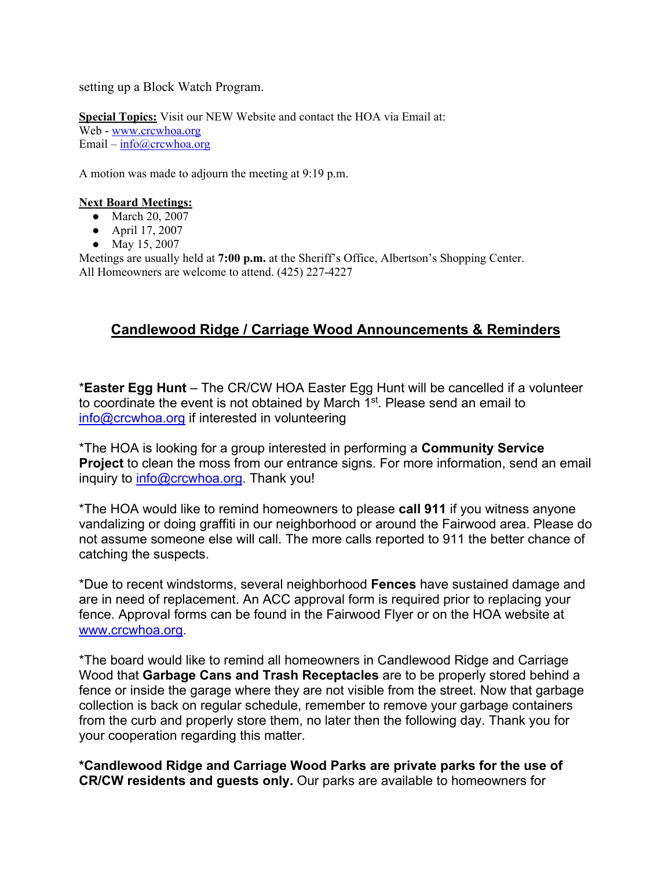setting up a Block Watch Program.

**Special Topics:** Visit our NEW Website and contact the HOA via Email at: Web - www.crcwhoa.org Email –  $info@crcwhoa.org$ 

A motion was made to adjourn the meeting at 9:19 p.m.

#### **Next Board Meetings:**

- March 20, 2007
- April 17, 2007
- May 15, 2007

Meetings are usually held at **7:00 p.m.** at the Sheriff's Office, Albertson's Shopping Center. All Homeowners are welcome to attend. (425) 227-4227

# **Candlewood Ridge / Carriage Wood Announcements & Reminders**

\***Easter Egg Hunt** – The CR/CW HOA Easter Egg Hunt will be cancelled if a volunteer to coordinate the event is not obtained by March 1<sup>st</sup>. Please send an email to info@crcwhoa.org if interested in volunteering

\*The HOA is looking for a group interested in performing a **Community Service Project** to clean the moss from our entrance signs. For more information, send an email inquiry to info@crcwhoa.org. Thank you!

\*The HOA would like to remind homeowners to please **call 911** if you witness anyone vandalizing or doing graffiti in our neighborhood or around the Fairwood area. Please do not assume someone else will call. The more calls reported to 911 the better chance of catching the suspects.

\*Due to recent windstorms, several neighborhood **Fences** have sustained damage and are in need of replacement. An ACC approval form is required prior to replacing your fence. Approval forms can be found in the Fairwood Flyer or on the HOA website at www.crcwhoa.org.

\*The board would like to remind all homeowners in Candlewood Ridge and Carriage Wood that **Garbage Cans and Trash Receptacles** are to be properly stored behind a fence or inside the garage where they are not visible from the street. Now that garbage collection is back on regular schedule, remember to remove your garbage containers from the curb and properly store them, no later then the following day. Thank you for your cooperation regarding this matter.

**\*Candlewood Ridge and Carriage Wood Parks are private parks for the use of CR/CW residents and guests only.** Our parks are available to homeowners for